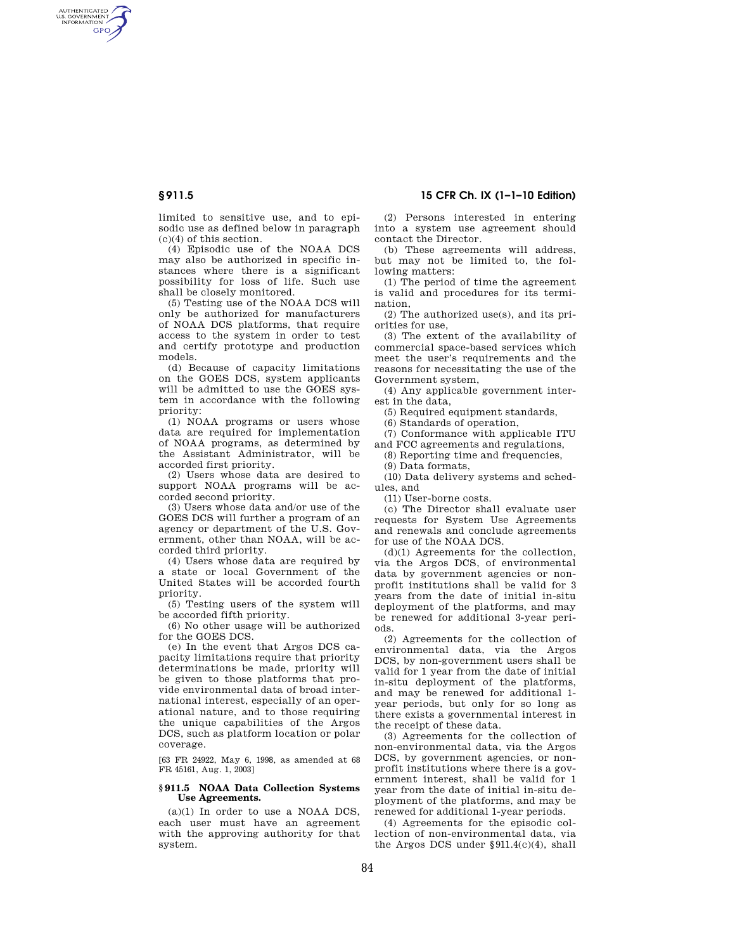AUTHENTICATED<br>U.S. GOVERNMENT<br>INFORMATION **GPO** 

> limited to sensitive use, and to episodic use as defined below in paragraph (c)(4) of this section.

> (4) Episodic use of the NOAA DCS may also be authorized in specific instances where there is a significant possibility for loss of life. Such use shall be closely monitored.

> (5) Testing use of the NOAA DCS will only be authorized for manufacturers of NOAA DCS platforms, that require access to the system in order to test and certify prototype and production models.

> (d) Because of capacity limitations on the GOES DCS, system applicants will be admitted to use the GOES system in accordance with the following priority:

> (1) NOAA programs or users whose data are required for implementation of NOAA programs, as determined by the Assistant Administrator, will be accorded first priority.

> (2) Users whose data are desired to support NOAA programs will be accorded second priority.

> (3) Users whose data and/or use of the GOES DCS will further a program of an agency or department of the U.S. Government, other than NOAA, will be accorded third priority.

> (4) Users whose data are required by a state or local Government of the United States will be accorded fourth priority.

> (5) Testing users of the system will be accorded fifth priority.

> (6) No other usage will be authorized for the GOES DCS.

> (e) In the event that Argos DCS capacity limitations require that priority determinations be made, priority will be given to those platforms that provide environmental data of broad international interest, especially of an operational nature, and to those requiring the unique capabilities of the Argos DCS, such as platform location or polar coverage.

> [63 FR 24922, May 6, 1998, as amended at 68 FR 45161, Aug. 1, 2003]

#### **§ 911.5 NOAA Data Collection Systems Use Agreements.**

 $(a)(1)$  In order to use a NOAA DCS, each user must have an agreement with the approving authority for that system.

**§ 911.5 15 CFR Ch. IX (1–1–10 Edition)** 

(2) Persons interested in entering into a system use agreement should contact the Director.

(b) These agreements will address, but may not be limited to, the following matters:

(1) The period of time the agreement is valid and procedures for its termination,

(2) The authorized use(s), and its priorities for use,

(3) The extent of the availability of commercial space-based services which meet the user's requirements and the reasons for necessitating the use of the Government system,

(4) Any applicable government interest in the data,

(5) Required equipment standards,

(6) Standards of operation,

(7) Conformance with applicable ITU and FCC agreements and regulations,

(8) Reporting time and frequencies,

(9) Data formats,

(10) Data delivery systems and schedules, and

(11) User-borne costs.

(c) The Director shall evaluate user requests for System Use Agreements and renewals and conclude agreements for use of the NOAA DCS.

(d)(1) Agreements for the collection, via the Argos DCS, of environmental data by government agencies or nonprofit institutions shall be valid for 3 years from the date of initial in-situ deployment of the platforms, and may be renewed for additional 3-year periods.

(2) Agreements for the collection of environmental data, via the Argos DCS, by non-government users shall be valid for 1 year from the date of initial in-situ deployment of the platforms, and may be renewed for additional 1 year periods, but only for so long as there exists a governmental interest in the receipt of these data.

(3) Agreements for the collection of non-environmental data, via the Argos DCS, by government agencies, or nonprofit institutions where there is a government interest, shall be valid for 1 year from the date of initial in-situ deployment of the platforms, and may be renewed for additional 1-year periods.

(4) Agreements for the episodic collection of non-environmental data, via the Argos DCS under  $§911.4(c)(4)$ , shall